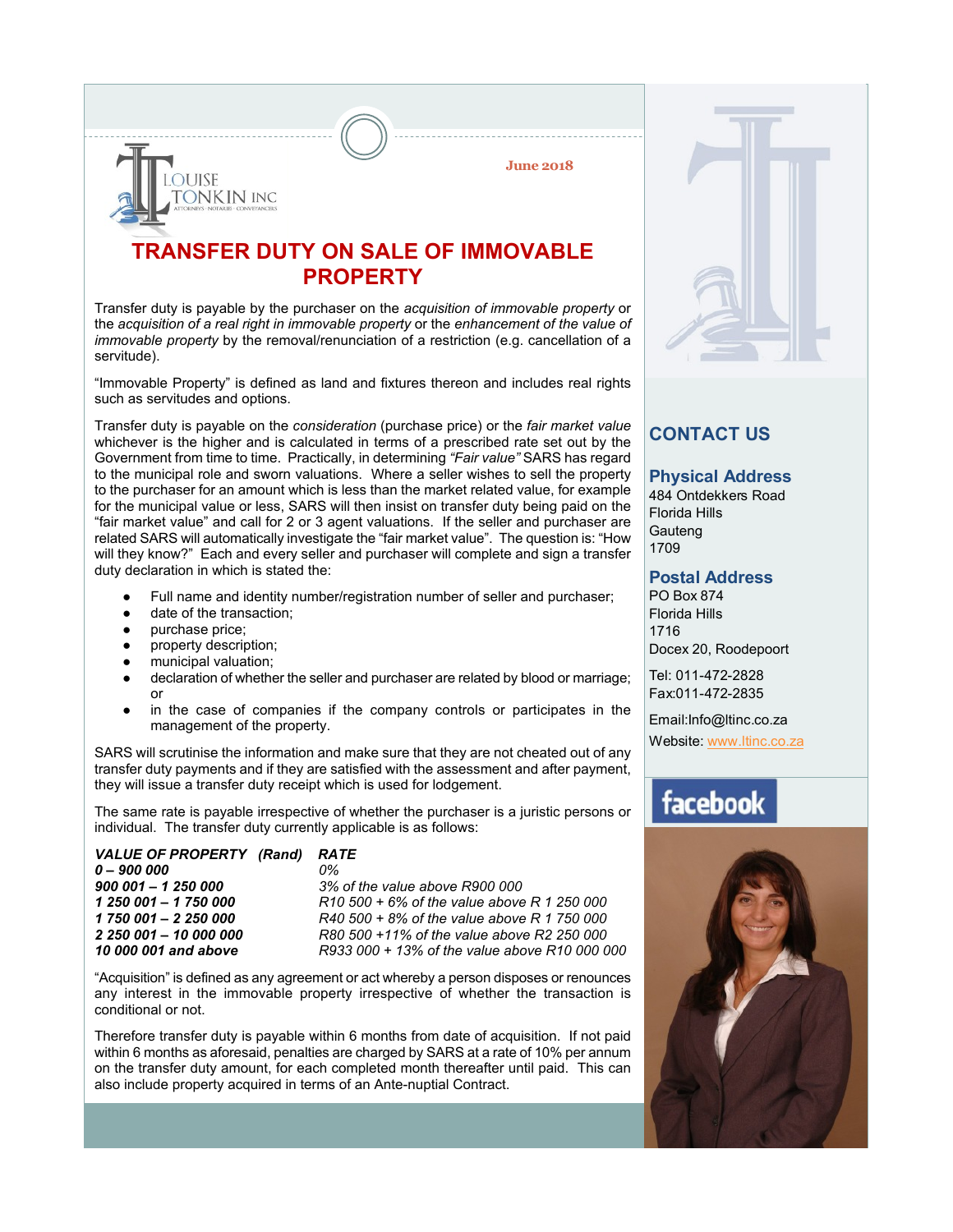**June 2018**

## **TRANSFER DUTY ON SALE OF IMMOVABLE PROPERTY**

Transfer duty is payable by the purchaser on the *acquisition of immovable property* or the *acquisition of a real right in immovable property* or the *enhancement of the value of immovable property* by the removal/renunciation of a restriction (e.g. cancellation of a servitude).

"Immovable Property" is defined as land and fixtures thereon and includes real rights such as servitudes and options.

Transfer duty is payable on the *consideration* (purchase price) or the *fair market value* whichever is the higher and is calculated in terms of a prescribed rate set out by the Government from time to time. Practically, in determining *"Fair value"* SARS has regard to the municipal role and sworn valuations. Where a seller wishes to sell the property to the purchaser for an amount which is less than the market related value, for example for the municipal value or less, SARS will then insist on transfer duty being paid on the "fair market value" and call for 2 or 3 agent valuations. If the seller and purchaser are related SARS will automatically investigate the "fair market value". The question is: "How will they know?" Each and every seller and purchaser will complete and sign a transfer duty declaration in which is stated the:

- Full name and identity number/registration number of seller and purchaser;
- date of the transaction:
- purchase price;
- property description:

**DUISE** 

**ONKIN INC** 

- municipal valuation;
- declaration of whether the seller and purchaser are related by blood or marriage; or
- in the case of companies if the company controls or participates in the management of the property.

SARS will scrutinise the information and make sure that they are not cheated out of any transfer duty payments and if they are satisfied with the assessment and after payment, they will issue a transfer duty receipt which is used for lodgement.

The same rate is payable irrespective of whether the purchaser is a juristic persons or individual. The transfer duty currently applicable is as follows:

| VALUE OF PROPERTY (Rand) RATE |                   |
|-------------------------------|-------------------|
| $0 - 900000$                  | 0%                |
| $900001 - 1250000$            | 3% of             |
| 1 250 001 - 1 750 000         | R <sub>10</sub> 5 |
| 1 750 001 - 2 250 000         | R <sub>40</sub> 5 |
| 2 250 001 - 10 000 000        | R80 5             |
| 10 000 001 and above          | R933              |
|                               |                   |

*900 001 – 1 250 000 3% of the value above R900 000 1 250 001 – 1 750 000 R10 500 + 6% of the value above R 1 250 000 1 750 001 – 2 250 000 R40 500 + 8% of the value above R 1 750 000 2 250 001 – 10 000 000 R80 500 +11% of the value above R2 250 000 10 000 001 and above R933 000 + 13% of the value above R10 000 000*

"Acquisition" is defined as any agreement or act whereby a person disposes or renounces any interest in the immovable property irrespective of whether the transaction is conditional or not.

Therefore transfer duty is payable within 6 months from date of acquisition. If not paid within 6 months as aforesaid, penalties are charged by SARS at a rate of 10% per annum on the transfer duty amount, for each completed month thereafter until paid. This can also include property acquired in terms of an Ante-nuptial Contract.



### **CONTACT US**

#### **Physical Address**

484 Ontdekkers Road Florida Hills **Gauteng** 1709

#### **Postal Address**

PO Box 874 Florida Hills 1716 Docex 20, Roodepoort

Tel: 011-472-2828 Fax:011-472-2835

Email:Info@ltinc.co.za

Website: www.ltinc.co.za

# facebook